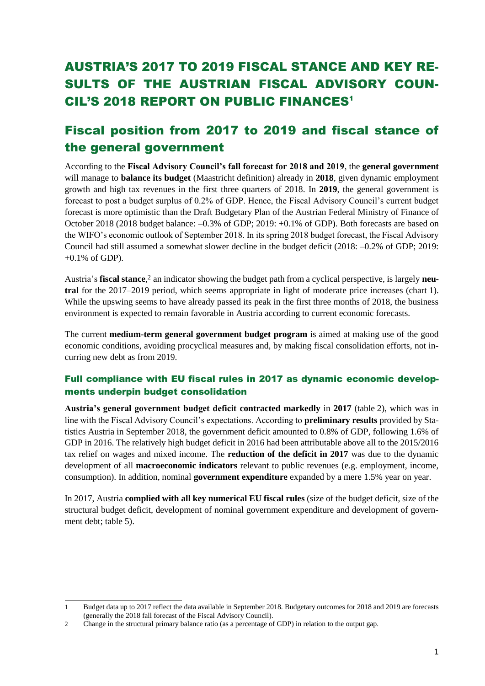# AUSTRIA'S 2017 TO 2019 FISCAL STANCE AND KEY RE-SULTS OF THE AUSTRIAN FISCAL ADVISORY COUN-CIL'S 2018 REPORT ON PUBLIC FINANCES<sup>1</sup>

# Fiscal position from 2017 to 2019 and fiscal stance of the general government

According to the **Fiscal Advisory Council's fall forecast for 2018 and 2019**, the **general government** will manage to **balance its budget** (Maastricht definition) already in **2018**, given dynamic employment growth and high tax revenues in the first three quarters of 2018. In **2019**, the general government is forecast to post a budget surplus of 0.2% of GDP. Hence, the Fiscal Advisory Council's current budget forecast is more optimistic than the Draft Budgetary Plan of the Austrian Federal Ministry of Finance of October 2018 (2018 budget balance: –0.3% of GDP; 2019: +0.1% of GDP). Both forecasts are based on the WIFO's economic outlook of September 2018. In its spring 2018 budget forecast, the Fiscal Advisory Council had still assumed a somewhat slower decline in the budget deficit (2018: –0.2% of GDP; 2019:  $+0.1\%$  of GDP).

Austria's **fiscal stance**, <sup>2</sup> an indicator showing the budget path from a cyclical perspective, is largely **neutral** for the 2017–2019 period, which seems appropriate in light of moderate price increases (chart 1). While the upswing seems to have already passed its peak in the first three months of 2018, the business environment is expected to remain favorable in Austria according to current economic forecasts.

The current **medium-term general government budget program** is aimed at making use of the good economic conditions, avoiding procyclical measures and, by making fiscal consolidation efforts, not incurring new debt as from 2019.

## Full compliance with EU fiscal rules in 2017 as dynamic economic developments underpin budget consolidation

**Austria's general government budget deficit contracted markedly** in **2017** (table 2), which was in line with the Fiscal Advisory Council's expectations. According to **preliminary results** provided by Statistics Austria in September 2018, the government deficit amounted to 0.8% of GDP, following 1.6% of GDP in 2016. The relatively high budget deficit in 2016 had been attributable above all to the 2015/2016 tax relief on wages and mixed income. The **reduction of the deficit in 2017** was due to the dynamic development of all **macroeconomic indicators** relevant to public revenues (e.g. employment, income, consumption). In addition, nominal **government expenditure** expanded by a mere 1.5% year on year.

In 2017, Austria **complied with all key numerical EU fiscal rules** (size of the budget deficit, size of the structural budget deficit, development of nominal government expenditure and development of government debt; table 5).

-

<sup>1</sup> Budget data up to 2017 reflect the data available in September 2018. Budgetary outcomes for 2018 and 2019 are forecasts (generally the 2018 fall forecast of the Fiscal Advisory Council).

<sup>2</sup> Change in the structural primary balance ratio (as a percentage of GDP) in relation to the output gap.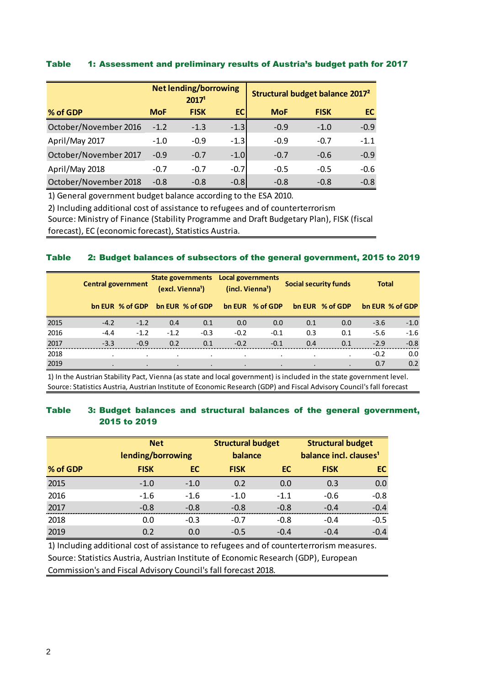#### Table 1: Assessment and preliminary results of Austria's budget path for 2017

|                       |            | <b>Net lending/borrowing</b><br>2017 <sup>1</sup> |        | Structural budget balance 2017 <sup>2</sup> |             |        |
|-----------------------|------------|---------------------------------------------------|--------|---------------------------------------------|-------------|--------|
| % of GDP              | <b>MoF</b> | <b>FISK</b>                                       | EC.    | <b>MoF</b>                                  | <b>FISK</b> | EC.    |
| October/November 2016 | $-1.2$     | $-1.3$                                            | $-1.3$ | $-0.9$                                      | $-1.0$      | $-0.9$ |
| April/May 2017        | $-1.0$     | $-0.9$                                            | $-1.3$ | $-0.9$                                      | $-0.7$      | $-1.1$ |
| October/November 2017 | $-0.9$     | $-0.7$                                            | $-1.0$ | $-0.7$                                      | $-0.6$      | $-0.9$ |
| April/May 2018        | $-0.7$     | $-0.7$                                            | $-0.7$ | $-0.5$                                      | $-0.5$      | $-0.6$ |
| October/November 2018 | $-0.8$     | $-0.8$                                            | $-0.8$ | $-0.8$                                      | $-0.8$      | $-0.8$ |

1) General government budget balance according to the ESA 2010.

Source: Ministry of Finance (Stability Programme and Draft Budgetary Plan), FISK (fiscal 2) Including additional cost of assistance to refugees and of counterterrorism

forecast), EC (economic forecast), Statistics Austria.

#### Table 2: Budget balances of subsectors of the general government, 2015 to 2019

|      | <b>Central government</b> |                 | State governments Local governments<br>(excl. Vienna <sup>1</sup> ) |                 | (incl. Vienna <sup>1</sup> ) |                 |     | Social security funds | <b>Total</b> |                 |
|------|---------------------------|-----------------|---------------------------------------------------------------------|-----------------|------------------------------|-----------------|-----|-----------------------|--------------|-----------------|
|      |                           | bn EUR % of GDP |                                                                     | bn EUR % of GDP |                              | bn EUR % of GDP |     | bn EUR % of GDP       |              | bn EUR % of GDP |
| 2015 | $-4.2$                    | $-1.2$          | 0.4                                                                 | 0.1             | 0.0                          | 0.0             | 0.1 | 0.0                   | $-3.6$       | $-1.0$          |
| 2016 | $-4.4$                    | $-1.2$          | $-1.2$                                                              | $-0.3$          | $-0.2$                       | $-0.1$          | 0.3 | 0.1                   | $-5.6$       | $-1.6$          |
| 2017 | $-3.3$                    | $-0.9$          | 0.2                                                                 | 0.1             | $-0.2$                       | $-0.1$          | 0.4 | 0.1                   | $-2.9$       | $-0.8$          |
| 2018 |                           |                 |                                                                     |                 |                              |                 |     |                       | $-0.2$       | 0.0             |
| 2019 |                           | $\bullet$       | $\bullet$                                                           |                 |                              |                 |     |                       | 0.7          | 0.2             |

Source: Statistics Austria, Austrian Institute of Economic Research (GDP) and Fiscal Advisory Council's fall forecast 1) In the Austrian Stability Pact, Vienna (as state and local government) is included in the state government level.

#### Table 3: Budget balances and structural balances of the general government, 2015 to 2019

|          | <b>Net</b>        |        | <b>Structural budget</b> |        | <b>Structural budget</b>           |        |  |  |
|----------|-------------------|--------|--------------------------|--------|------------------------------------|--------|--|--|
|          | lending/borrowing |        | balance                  |        | balance incl. clauses <sup>1</sup> |        |  |  |
| % of GDP | <b>FISK</b>       | EC     | <b>FISK</b>              | EC     | <b>FISK</b>                        | EC.    |  |  |
| 2015     | $-1.0$            | $-1.0$ | 0.2                      | 0.0    | 0.3                                | 0.0    |  |  |
| 2016     | $-1.6$            | $-1.6$ | $-1.0$                   | $-1.1$ | $-0.6$                             | $-0.8$ |  |  |
| 2017     | $-0.8$            | $-0.8$ | $-0.8$                   | $-0.8$ | $-0.4$                             | $-0.4$ |  |  |
| 2018     | 0.0               | $-0.3$ | $-0.7$                   | $-0.8$ | $-0.4$                             | $-0.5$ |  |  |
| 2019     | 0.2               | 0.0    | $-0.5$                   | $-0.4$ | $-0.4$                             | $-0.4$ |  |  |

Source: Statistics Austria, Austrian Institute of Economic Research (GDP), European Commission's and Fiscal Advisory Council's fall forecast 2018. 1) Including additional cost of assistance to refugees and of counterterrorism measures.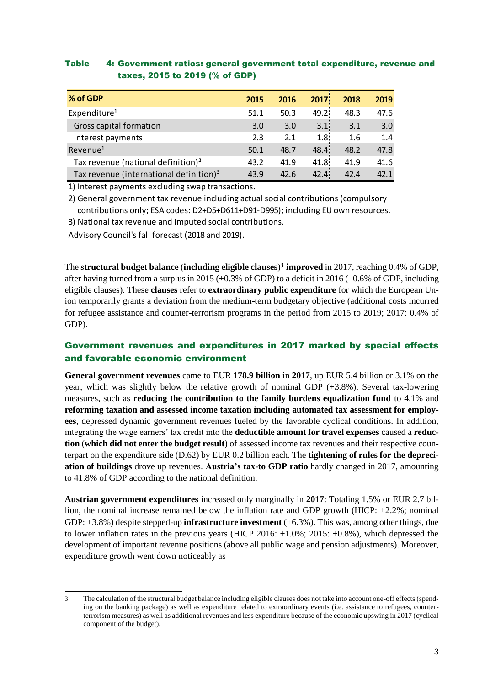| % of GDP                                            | 2015 | 2016 | 2017             | 2018 | 2019 |
|-----------------------------------------------------|------|------|------------------|------|------|
| Expenditure <sup>1</sup>                            | 51.1 | 50.3 | 49.2             | 48.3 | 47.6 |
| Gross capital formation                             | 3.0  | 3.0  | 3.1              | 3.1  | 3.0  |
| Interest payments                                   | 2.3  | 2.1  | 1.8 <sup>1</sup> | 1.6  | 1.4  |
| Revenue <sup>1</sup>                                | 50.1 | 48.7 | 48.4             | 48.2 | 47.8 |
| Tax revenue (national definition) <sup>2</sup>      | 43.2 | 41.9 | 41.8             | 41.9 | 41.6 |
| Tax revenue (international definition) <sup>3</sup> | 43.9 | 42.6 | 42.4             | 42.4 | 42.1 |

#### Table 4: Government ratios: general government total expenditure, revenue and taxes, 2015 to 2019 (% of GDP)

1) Interest payments excluding swap transactions.

2) General government tax revenue including actual social contributions (compulsory contributions only; ESA codes: D2+D5+D611+D91-D995); including EU own resources.

3) National tax revenue and imputed social contributions.

Advisory Council's fall forecast (2018 and 2019).

The **structural budget balance** (**including eligible clauses**) **<sup>3</sup> improved** in 2017, reaching 0.4% of GDP, after having turned from a surplus in 2015 (+0.3% of GDP) to a deficit in 2016 (–0.6% of GDP, including eligible clauses). These **clauses** refer to **extraordinary public expenditure** for which the European Union temporarily grants a deviation from the medium-term budgetary objective (additional costs incurred for refugee assistance and counter-terrorism programs in the period from 2015 to 2019; 2017: 0.4% of GDP).

## Government revenues and expenditures in 2017 marked by special effects and favorable economic environment

**General government revenues** came to EUR **178.9 billion** in **2017**, up EUR 5.4 billion or 3.1% on the year, which was slightly below the relative growth of nominal GDP (+3.8%). Several tax-lowering measures, such as **reducing the contribution to the family burdens equalization fund** to 4.1% and **reforming taxation and assessed income taxation including automated tax assessment for employees**, depressed dynamic government revenues fueled by the favorable cyclical conditions. In addition, integrating the wage earners' tax credit into the **deductible amount for travel expenses** caused a **reduction** (**which did not enter the budget result**) of assessed income tax revenues and their respective counterpart on the expenditure side (D.62) by EUR 0.2 billion each. The **tightening of rules for the depreciation of buildings** drove up revenues. **Austria's tax-to GDP ratio** hardly changed in 2017, amounting to 41.8% of GDP according to the national definition.

**Austrian government expenditures** increased only marginally in **2017**: Totaling 1.5% or EUR 2.7 billion, the nominal increase remained below the inflation rate and GDP growth (HICP: +2.2%; nominal GDP: +3.8%) despite stepped-up **infrastructure investment** (+6.3%). This was, among other things, due to lower inflation rates in the previous years (HICP 2016: +1.0%; 2015: +0.8%), which depressed the development of important revenue positions (above all public wage and pension adjustments). Moreover, expenditure growth went down noticeably as

<sup>1</sup> 3 The calculation of the structural budget balance including eligible clauses does not take into account one-off effects (spending on the banking package) as well as expenditure related to extraordinary events (i.e. assistance to refugees, counterterrorism measures) as well as additional revenues and less expenditure because of the economic upswing in 2017 (cyclical component of the budget).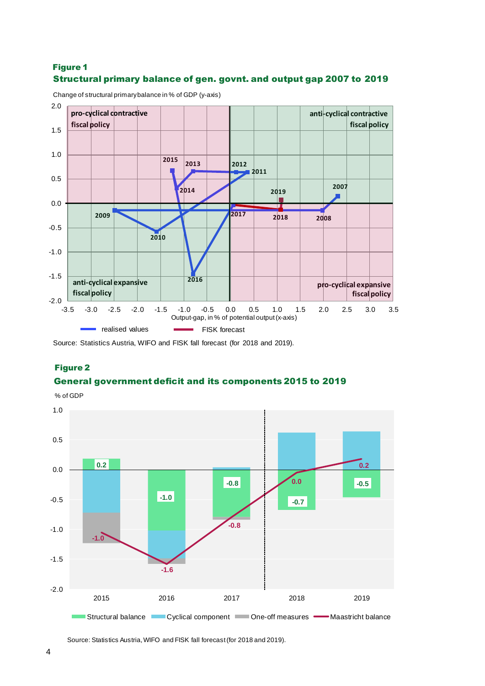## Structural primary balance of gen. govnt. and output gap 2007 to 2019 Figure 1



Change of structural primary balance in % of GDP (y-axis)

Source: Statistics Austria, WIFO and FISK fall forecast (for 2018 and 2019).

#### Figure 2

#### General government deficit and its components 2015 to 2019



Source: Statistics Austria, WIFO and FISK fall forecast (for 2018 and 2019).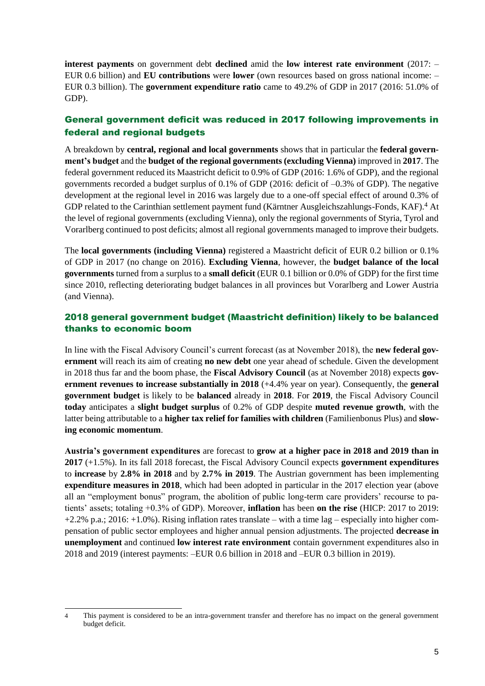**interest payments** on government debt **declined** amid the **low interest rate environment** (2017: – EUR 0.6 billion) and **EU contributions** were **lower** (own resources based on gross national income: – EUR 0.3 billion). The **government expenditure ratio** came to 49.2% of GDP in 2017 (2016: 51.0% of GDP).

## General government deficit was reduced in 2017 following improvements in federal and regional budgets

A breakdown by **central, regional and local governments** shows that in particular the **federal government's budget** and the **budget of the regional governments (excluding Vienna)** improved in **2017**. The federal government reduced its Maastricht deficit to 0.9% of GDP (2016: 1.6% of GDP), and the regional governments recorded a budget surplus of 0.1% of GDP (2016: deficit of –0.3% of GDP). The negative development at the regional level in 2016 was largely due to a one-off special effect of around 0.3% of GDP related to the Carinthian settlement payment fund (Kärntner Ausgleichszahlungs-Fonds, KAF).<sup>4</sup> At the level of regional governments (excluding Vienna), only the regional governments of Styria, Tyrol and Vorarlberg continued to post deficits; almost all regional governments managed to improve their budgets.

The **local governments (including Vienna)** registered a Maastricht deficit of EUR 0.2 billion or 0.1% of GDP in 2017 (no change on 2016). **Excluding Vienna**, however, the **budget balance of the local governments** turned from a surplus to a **small deficit** (EUR 0.1 billion or 0.0% of GDP) for the first time since 2010, reflecting deteriorating budget balances in all provinces but Vorarlberg and Lower Austria (and Vienna).

## 2018 general government budget (Maastricht definition) likely to be balanced thanks to economic boom

In line with the Fiscal Advisory Council's current forecast (as at November 2018), the **new federal government** will reach its aim of creating **no new debt** one year ahead of schedule. Given the development in 2018 thus far and the boom phase, the **Fiscal Advisory Council** (as at November 2018) expects **government revenues to increase substantially in 2018** (+4.4% year on year). Consequently, the **general government budget** is likely to be **balanced** already in **2018**. For **2019**, the Fiscal Advisory Council **today** anticipates a **slight budget surplus** of 0.2% of GDP despite **muted revenue growth**, with the latter being attributable to a **higher tax relief for families with children** (Familienbonus Plus) and **slowing economic momentum**.

**Austria's government expenditures** are forecast to **grow at a higher pace in 2018 and 2019 than in 2017** (+1.5%). In its fall 2018 forecast, the Fiscal Advisory Council expects **government expenditures** to **increase** by **2.8% in 2018** and by **2.7% in 2019**. The Austrian government has been implementing **expenditure measures in 2018**, which had been adopted in particular in the 2017 election year (above all an "employment bonus" program, the abolition of public long-term care providers' recourse to patients' assets; totaling +0.3% of GDP). Moreover, **inflation** has been **on the rise** (HICP: 2017 to 2019: +2.2% p.a.; 2016: +1.0%). Rising inflation rates translate – with a time lag – especially into higher compensation of public sector employees and higher annual pension adjustments. The projected **decrease in unemployment** and continued **low interest rate environment** contain government expenditures also in 2018 and 2019 (interest payments: –EUR 0.6 billion in 2018 and –EUR 0.3 billion in 2019).

-

<sup>4</sup> This payment is considered to be an intra-government transfer and therefore has no impact on the general government budget deficit.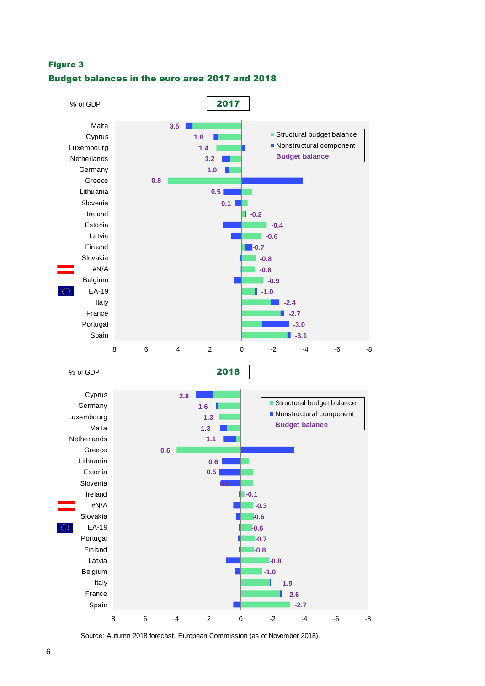#### Figure 3

#### Budget balances in the euro area 2017 and 2018



Source: Autumn 2018 forecast, European Commission (as of November 2018).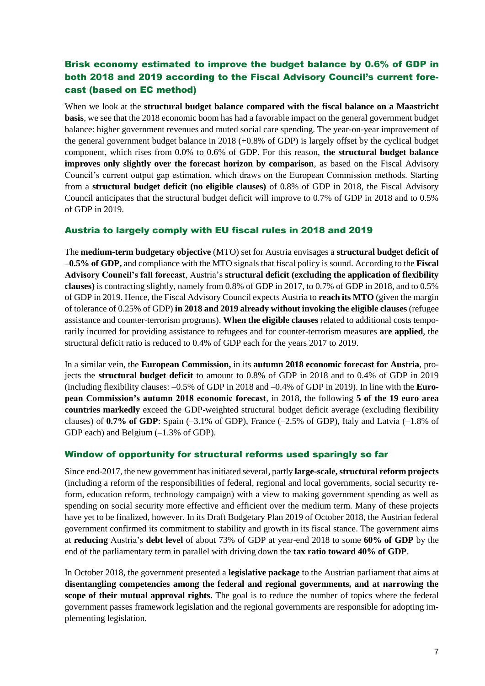## Brisk economy estimated to improve the budget balance by 0.6% of GDP in both 2018 and 2019 according to the Fiscal Advisory Council's current forecast (based on EC method)

When we look at the **structural budget balance compared with the fiscal balance on a Maastricht basis**, we see that the 2018 economic boom has had a favorable impact on the general government budget balance: higher government revenues and muted social care spending. The year-on-year improvement of the general government budget balance in 2018 (+0.8% of GDP) is largely offset by the cyclical budget component, which rises from 0.0% to 0.6% of GDP. For this reason, **the structural budget balance improves only slightly over the forecast horizon by comparison**, as based on the Fiscal Advisory Council's current output gap estimation, which draws on the European Commission methods. Starting from a **structural budget deficit (no eligible clauses)** of 0.8% of GDP in 2018, the Fiscal Advisory Council anticipates that the structural budget deficit will improve to 0.7% of GDP in 2018 and to 0.5% of GDP in 2019.

#### Austria to largely comply with EU fiscal rules in 2018 and 2019

The **medium-term budgetary objective** (MTO) set for Austria envisages a **structural budget deficit of –0.5% of GDP,** and compliance with the MTO signals that fiscal policy is sound. According to the **Fiscal Advisory Council's fall forecast**, Austria's **structural deficit (excluding the application of flexibility clauses)** is contracting slightly, namely from 0.8% of GDP in 2017, to 0.7% of GDP in 2018, and to 0.5% of GDP in 2019. Hence, the Fiscal Advisory Council expects Austria to **reach its MTO** (given the margin of tolerance of 0.25% of GDP) **in 2018 and 2019 already without invoking the eligible clauses** (refugee assistance and counter-terrorism programs). **When the eligible clauses** related to additional costs temporarily incurred for providing assistance to refugees and for counter-terrorism measures **are applied**, the structural deficit ratio is reduced to 0.4% of GDP each for the years 2017 to 2019.

In a similar vein, the **European Commission,** in its **autumn 2018 economic forecast for Austria**, projects the **structural budget deficit** to amount to 0.8% of GDP in 2018 and to 0.4% of GDP in 2019 (including flexibility clauses: –0.5% of GDP in 2018 and –0.4% of GDP in 2019). In line with the **European Commission's autumn 2018 economic forecast**, in 2018, the following **5 of the 19 euro area countries markedly** exceed the GDP-weighted structural budget deficit average (excluding flexibility clauses) of **0.7% of GDP**: Spain (–3.1% of GDP), France (–2.5% of GDP), Italy and Latvia (–1.8% of GDP each) and Belgium (–1.3% of GDP).

#### Window of opportunity for structural reforms used sparingly so far

Since end-2017, the new government has initiated several, partly **large-scale, structural reform projects** (including a reform of the responsibilities of federal, regional and local governments, social security reform, education reform, technology campaign) with a view to making government spending as well as spending on social security more effective and efficient over the medium term. Many of these projects have yet to be finalized, however. In its Draft Budgetary Plan 2019 of October 2018, the Austrian federal government confirmed its commitment to stability and growth in its fiscal stance. The government aims at **reducing** Austria's **debt level** of about 73% of GDP at year-end 2018 to some **60% of GDP** by the end of the parliamentary term in parallel with driving down the **tax ratio toward 40% of GDP**.

In October 2018, the government presented a **legislative package** to the Austrian parliament that aims at **disentangling competencies among the federal and regional governments, and at narrowing the scope of their mutual approval rights**. The goal is to reduce the number of topics where the federal government passes framework legislation and the regional governments are responsible for adopting implementing legislation.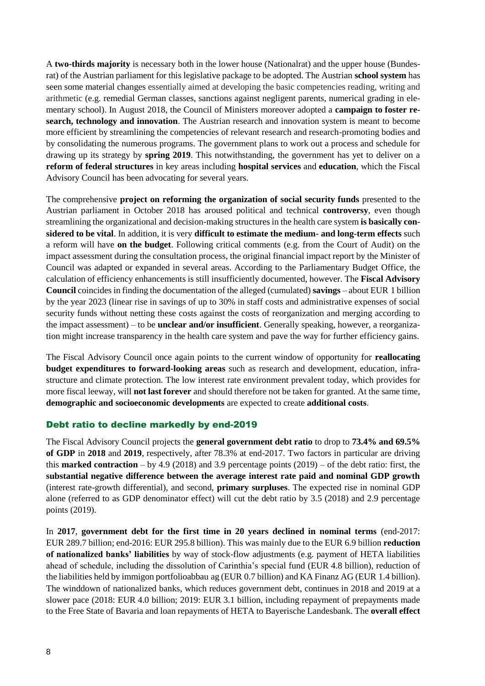A **two-thirds majority** is necessary both in the lower house (Nationalrat) and the upper house (Bundesrat) of the Austrian parliament for this legislative package to be adopted. The Austrian **school system** has seen some material changes essentially aimed at developing the basic competencies reading, writing and arithmetic (e.g. remedial German classes, sanctions against negligent parents, numerical grading in elementary school). In August 2018, the Council of Ministers moreover adopted a **campaign to foster research, technology and innovation**. The Austrian research and innovation system is meant to become more efficient by streamlining the competencies of relevant research and research-promoting bodies and by consolidating the numerous programs. The government plans to work out a process and schedule for drawing up its strategy by **spring 2019**. This notwithstanding, the government has yet to deliver on a **reform of federal structures** in key areas including **hospital services** and **education**, which the Fiscal Advisory Council has been advocating for several years.

The comprehensive **project on reforming the organization of social security funds** presented to the Austrian parliament in October 2018 has aroused political and technical **controversy**, even though streamlining the organizational and decision-making structures in the health care system **is basically considered to be vital**. In addition, it is very **difficult to estimate the medium- and long-term effects** such a reform will have **on the budget**. Following critical comments (e.g. from the Court of Audit) on the impact assessment during the consultation process, the original financial impact report by the Minister of Council was adapted or expanded in several areas. According to the Parliamentary Budget Office, the calculation of efficiency enhancements is still insufficiently documented, however. The **Fiscal Advisory Council** coincides in finding the documentation of the alleged (cumulated) **savings** – about EUR 1 billion by the year 2023 (linear rise in savings of up to 30% in staff costs and administrative expenses of social security funds without netting these costs against the costs of reorganization and merging according to the impact assessment) – to be **unclear and/or insufficient**. Generally speaking, however, a reorganization might increase transparency in the health care system and pave the way for further efficiency gains.

The Fiscal Advisory Council once again points to the current window of opportunity for **reallocating budget expenditures to forward-looking areas** such as research and development, education, infrastructure and climate protection. The low interest rate environment prevalent today, which provides for more fiscal leeway, will **not last forever** and should therefore not be taken for granted. At the same time, **demographic and socioeconomic developments** are expected to create **additional costs**.

#### Debt ratio to decline markedly by end-2019

The Fiscal Advisory Council projects the **general government debt ratio** to drop to **73.4% and 69.5% of GDP** in **2018** and **2019**, respectively, after 78.3% at end-2017. Two factors in particular are driving this **marked contraction** – by 4.9 (2018) and 3.9 percentage points (2019) – of the debt ratio: first, the **substantial negative difference between the average interest rate paid and nominal GDP growth** (interest rate-growth differential), and second, **primary surpluses**. The expected rise in nominal GDP alone (referred to as GDP denominator effect) will cut the debt ratio by 3.5 (2018) and 2.9 percentage points (2019).

In **2017**, **government debt for the first time in 20 years declined in nominal terms** (end-2017: EUR 289.7 billion; end-2016: EUR 295.8 billion). This was mainly due to the EUR 6.9 billion **reduction of nationalized banks' liabilities** by way of stock-flow adjustments (e.g. payment of HETA liabilities ahead of schedule, including the dissolution of Carinthia's special fund (EUR 4.8 billion), reduction of the liabilities held by immigon portfolioabbau ag (EUR 0.7 billion) and KA Finanz AG (EUR 1.4 billion). The winddown of nationalized banks, which reduces government debt, continues in 2018 and 2019 at a slower pace (2018: EUR 4.0 billion; 2019: EUR 3.1 billion, including repayment of prepayments made to the Free State of Bavaria and loan repayments of HETA to Bayerische Landesbank. The **overall effect**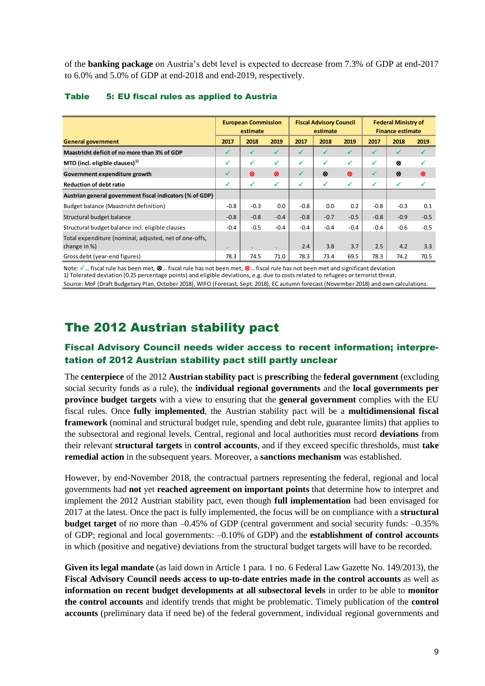of the **banking package** on Austria's debt level is expected to decrease from 7.3% of GDP at end-2017 to 6.0% and 5.0% of GDP at end-2018 and end-2019, respectively.

|                                                                        | <b>European Commission</b><br>estimate |        |           | <b>Fiscal Advisory Council</b><br>estimate |        |        | <b>Federal Ministry of</b><br><b>Finance estimate</b> |        |        |
|------------------------------------------------------------------------|----------------------------------------|--------|-----------|--------------------------------------------|--------|--------|-------------------------------------------------------|--------|--------|
| <b>General government</b>                                              | 2017                                   | 2018   | 2019      | 2017                                       | 2018   | 2019   | 2017                                                  | 2018   | 2019   |
| Maastricht deficit of no more than 3% of GDP                           | $\checkmark$                           |        | ✓         | $\sqrt{ }$                                 |        | ✓      | ✓                                                     |        |        |
| MTO (incl. eligible clauses) $1$                                       | ✓                                      | ✓      | ✓         | ✓                                          | ✓      | ✓      | ✓                                                     | ⊗      |        |
| Government expenditure growth                                          | ✓                                      | ⊗      | $\otimes$ | ✓                                          | ⊗      | ⊗      | ✓                                                     | ⊗      | ⊗      |
| <b>Reduction of debt ratio</b>                                         | ✓                                      | ✓      | ✓         | ✓                                          | ✓      | ✓      | ✓                                                     | ✓      |        |
| Austrian general government fiscal indicators (% of GDP)               |                                        |        |           |                                            |        |        |                                                       |        |        |
| Budget balance (Maastricht definition)                                 | $-0.8$                                 | $-0.3$ | 0.0       | $-0.8$                                     | 0.0    | 0.2    | $-0.8$                                                | $-0.3$ | 0.1    |
| Structural budget balance                                              | $-0.8$                                 | $-0.8$ | $-0.4$    | $-0.8$                                     | $-0.7$ | $-0.5$ | $-0.8$                                                | $-0.9$ | $-0.5$ |
| Structural budget balance incl. eligible clauses                       | $-0.4$                                 | $-0.5$ | $-0.4$    | $-0.4$                                     | $-0.4$ | $-0.4$ | $-0.4$                                                | $-0.6$ | $-0.5$ |
| Total expenditure (nominal, adjusted, net of one-offs,<br>change in %) | $\cdot$                                |        | $\bullet$ | 2.4                                        | 3.8    | 3.7    | 2.5                                                   | 4.2    | 3.3    |
| Gross debt (year-end figures)                                          | 78.3                                   | 74.5   | 71.0      | 78.3                                       | 73.4   | 69.5   | 78.3                                                  | 74.2   | 70.5   |

#### Table 5: EU fiscal rules as applied to Austria

Note:  $\checkmark$  ... fiscal rule has been met,  $\otimes$  ... fiscal rule has not been met,  $\otimes$  ... fiscal rule has not been met and significant deviation 1) Tolerated deviation (0.25 percentage points) and eligible deviations, e.g. due to costs related to refugees or terrorist threat. Source: MoF (Draft Budgetary Plan, October 2018), WIFO (Forecast, Sept. 2018), EC autumn forecast (November 2018) and own calculations.

## The 2012 Austrian stability pact

## Fiscal Advisory Council needs wider access to recent information; interpretation of 2012 Austrian stability pact still partly unclear

The **centerpiece** of the 2012 **Austrian stability pact** is **prescribing** the **federal government** (excluding social security funds as a rule), the **individual regional governments** and the **local governments per province budget targets** with a view to ensuring that the **general government** complies with the EU fiscal rules. Once **fully implemented**, the Austrian stability pact will be a **multidimensional fiscal framework** (nominal and structural budget rule, spending and debt rule, guarantee limits) that applies to the subsectoral and regional levels. Central, regional and local authorities must record **deviations** from their relevant **structural targets** in **control accounts**, and if they exceed specific thresholds, must **take remedial action** in the subsequent years. Moreover, a **sanctions mechanism** was established.

However, by end-November 2018, the contractual partners representing the federal, regional and local governments had **not** yet **reached agreement on important points** that determine how to interpret and implement the 2012 Austrian stability pact, even though **full implementation** had been envisaged for 2017 at the latest. Once the pact is fully implemented, the focus will be on compliance with a **structural budget target** of no more than –0.45% of GDP (central government and social security funds: –0.35% of GDP; regional and local governments: –0.10% of GDP) and the **establishment of control accounts** in which (positive and negative) deviations from the structural budget targets will have to be recorded.

**Given its legal mandate** (as laid down in Article 1 para. 1 no. 6 Federal Law Gazette No. 149/2013), the **Fiscal Advisory Council needs access to up-to-date entries made in the control accounts** as well as **information on recent budget developments at all subsectoral levels** in order to be able to **monitor the control accounts** and identify trends that might be problematic. Timely publication of the **control accounts** (preliminary data if need be) of the federal government, individual regional governments and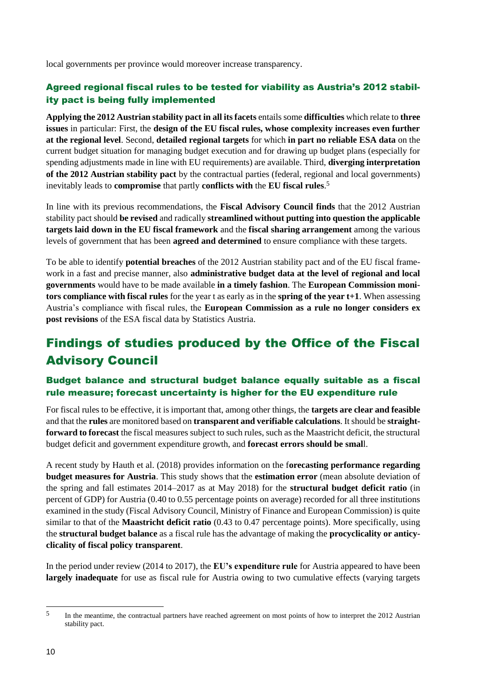local governments per province would moreover increase transparency.

## Agreed regional fiscal rules to be tested for viability as Austria's 2012 stability pact is being fully implemented

**Applying the 2012 Austrian stability pact in all its facets** entails some **difficulties** which relate to **three issues** in particular: First, the **design of the EU fiscal rules, whose complexity increases even further at the regional level**. Second, **detailed regional targets** for which **in part no reliable ESA data** on the current budget situation for managing budget execution and for drawing up budget plans (especially for spending adjustments made in line with EU requirements) are available. Third, **diverging interpretation of the 2012 Austrian stability pact** by the contractual parties (federal, regional and local governments) inevitably leads to **compromise** that partly **conflicts with** the **EU fiscal rules**. 5

In line with its previous recommendations, the **Fiscal Advisory Council finds** that the 2012 Austrian stability pact should **be revised** and radically **streamlined without putting into question the applicable targets laid down in the EU fiscal framework** and the **fiscal sharing arrangement** among the various levels of government that has been **agreed and determined** to ensure compliance with these targets.

To be able to identify **potential breaches** of the 2012 Austrian stability pact and of the EU fiscal framework in a fast and precise manner, also **administrative budget data at the level of regional and local governments** would have to be made available **in a timely fashion**. The **European Commission monitors compliance with fiscal rules** for the year t as early as in the **spring of the year t+1**. When assessing Austria's compliance with fiscal rules, the **European Commission as a rule no longer considers ex post revisions** of the ESA fiscal data by Statistics Austria.

# Findings of studies produced by the Office of the Fiscal Advisory Council

## Budget balance and structural budget balance equally suitable as a fiscal rule measure; forecast uncertainty is higher for the EU expenditure rule

For fiscal rules to be effective, it is important that, among other things, the **targets are clear and feasible** and that the **rules** are monitored based on **transparent and verifiable calculations**. It should be **straightforward to forecast** the fiscal measures subject to such rules, such as the Maastricht deficit, the structural budget deficit and government expenditure growth, and **forecast errors should be smal**l.

A recent study by Hauth et al. (2018) provides information on the f**orecasting performance regarding budget measures for Austria**. This study shows that the **estimation error** (mean absolute deviation of the spring and fall estimates 2014–2017 as at May 2018) for the **structural budget deficit ratio** (in percent of GDP) for Austria (0.40 to 0.55 percentage points on average) recorded for all three institutions examined in the study (Fiscal Advisory Council, Ministry of Finance and European Commission) is quite similar to that of the **Maastricht deficit ratio** (0.43 to 0.47 percentage points). More specifically, using the **structural budget balance** as a fiscal rule has the advantage of making the **procyclicality or anticyclicality of fiscal policy transparent**.

In the period under review (2014 to 2017), the **EU's expenditure rule** for Austria appeared to have been **largely inadequate** for use as fiscal rule for Austria owing to two cumulative effects (varying targets

1

<sup>&</sup>lt;sup>5</sup> In the meantime, the contractual partners have reached agreement on most points of how to interpret the 2012 Austrian stability pact.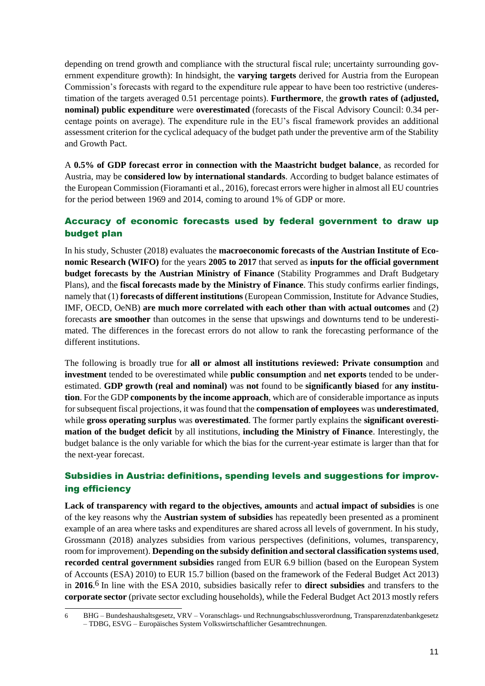depending on trend growth and compliance with the structural fiscal rule; uncertainty surrounding government expenditure growth): In hindsight, the **varying targets** derived for Austria from the European Commission's forecasts with regard to the expenditure rule appear to have been too restrictive (underestimation of the targets averaged 0.51 percentage points). **Furthermore**, the **growth rates of (adjusted, nominal) public expenditure** were **overestimated** (forecasts of the Fiscal Advisory Council: 0.34 percentage points on average). The expenditure rule in the EU's fiscal framework provides an additional assessment criterion for the cyclical adequacy of the budget path under the preventive arm of the Stability and Growth Pact.

A **0.5% of GDP forecast error in connection with the Maastricht budget balance**, as recorded for Austria, may be **considered low by international standards**. According to budget balance estimates of the European Commission (Fioramanti et al., 2016), forecast errors were higher in almost all EU countries for the period between 1969 and 2014, coming to around 1% of GDP or more.

## Accuracy of economic forecasts used by federal government to draw up budget plan

In his study, Schuster (2018) evaluates the **macroeconomic forecasts of the Austrian Institute of Economic Research (WIFO)** for the years **2005 to 2017** that served as **inputs for the official government budget forecasts by the Austrian Ministry of Finance** (Stability Programmes and Draft Budgetary Plans), and the **fiscal forecasts made by the Ministry of Finance**. This study confirms earlier findings, namely that (1) **forecasts of different institutions** (European Commission, Institute for Advance Studies, IMF, OECD, OeNB) **are much more correlated with each other than with actual outcomes** and (2) forecasts **are smoother** than outcomes in the sense that upswings and downturns tend to be underestimated. The differences in the forecast errors do not allow to rank the forecasting performance of the different institutions.

The following is broadly true for **all or almost all institutions reviewed: Private consumption** and **investment** tended to be overestimated while **public consumption** and **net exports** tended to be underestimated. **GDP growth (real and nominal)** was **not** found to be **significantly biased** for **any institution**. For the GDP **components by the income approach**, which are of considerable importance as inputs for subsequent fiscal projections, it was found that the **compensation of employees** was **underestimated**, while **gross operating surplus** was **overestimated**. The former partly explains the **significant overestimation of the budget deficit** by all institutions, **including the Ministry of Finance**. Interestingly, the budget balance is the only variable for which the bias for the current-year estimate is larger than that for the next-year forecast.

## Subsidies in Austria: definitions, spending levels and suggestions for improving efficiency

**Lack of transparency with regard to the objectives, amounts** and **actual impact of subsidies** is one of the key reasons why the **Austrian system of subsidies** has repeatedly been presented as a prominent example of an area where tasks and expenditures are shared across all levels of government. In his study, Grossmann (2018) analyzes subsidies from various perspectives (definitions, volumes, transparency, room for improvement). **Depending on the subsidy definition and sectoral classification systems used**, **recorded central government subsidies** ranged from EUR 6.9 billion (based on the European System of Accounts (ESA) 2010) to EUR 15.7 billion (based on the framework of the Federal Budget Act 2013) in **2016**. 6 In line with the ESA 2010, subsidies basically refer to **direct subsidies** and transfers to the **corporate sector** (private sector excluding households), while the Federal Budget Act 2013 mostly refers

-

<sup>6</sup> BHG – Bundeshaushaltsgesetz, VRV – Voranschlags- und Rechnungsabschlussverordnung, Transparenzdatenbankgesetz – TDBG, ESVG – Europäisches System Volkswirtschaftlicher Gesamtrechnungen.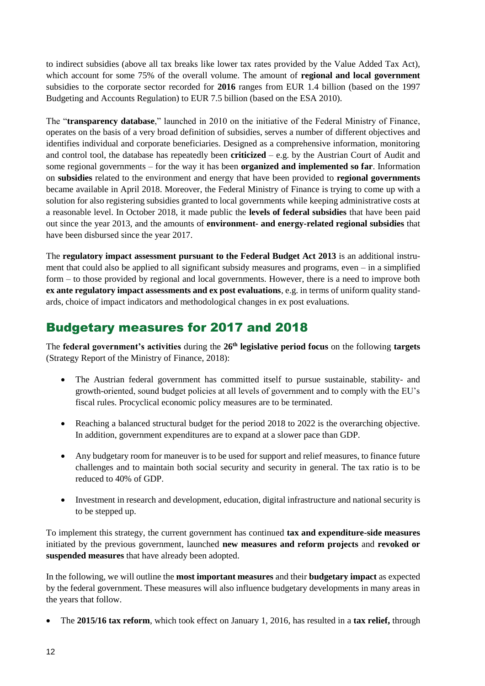to indirect subsidies (above all tax breaks like lower tax rates provided by the Value Added Tax Act), which account for some 75% of the overall volume. The amount of **regional and local government** subsidies to the corporate sector recorded for **2016** ranges from EUR 1.4 billion (based on the 1997 Budgeting and Accounts Regulation) to EUR 7.5 billion (based on the ESA 2010).

The "**transparency database**," launched in 2010 on the initiative of the Federal Ministry of Finance, operates on the basis of a very broad definition of subsidies, serves a number of different objectives and identifies individual and corporate beneficiaries. Designed as a comprehensive information, monitoring and control tool, the database has repeatedly been **criticized** – e.g. by the Austrian Court of Audit and some regional governments – for the way it has been **organized and implemented so far**. Information on **subsidies** related to the environment and energy that have been provided to **regional governments** became available in April 2018. Moreover, the Federal Ministry of Finance is trying to come up with a solution for also registering subsidies granted to local governments while keeping administrative costs at a reasonable level. In October 2018, it made public the **levels of federal subsidies** that have been paid out since the year 2013, and the amounts of **environment- and energy-related regional subsidies** that have been disbursed since the year 2017.

The **regulatory impact assessment pursuant to the Federal Budget Act 2013** is an additional instrument that could also be applied to all significant subsidy measures and programs, even – in a simplified form – to those provided by regional and local governments. However, there is a need to improve both **ex ante regulatory impact assessments and ex post evaluations**, e.g. in terms of uniform quality standards, choice of impact indicators and methodological changes in ex post evaluations.

## Budgetary measures for 2017 and 2018

The **federal government's activities** during the **26th legislative period focus** on the following **targets** (Strategy Report of the Ministry of Finance, 2018):

- The Austrian federal government has committed itself to pursue sustainable, stability- and growth-oriented, sound budget policies at all levels of government and to comply with the EU's fiscal rules. Procyclical economic policy measures are to be terminated.
- Reaching a balanced structural budget for the period 2018 to 2022 is the overarching objective. In addition, government expenditures are to expand at a slower pace than GDP.
- Any budgetary room for maneuver is to be used for support and relief measures, to finance future challenges and to maintain both social security and security in general. The tax ratio is to be reduced to 40% of GDP.
- Investment in research and development, education, digital infrastructure and national security is to be stepped up.

To implement this strategy, the current government has continued **tax and expenditure-side measures** initiated by the previous government, launched **new measures and reform projects** and **revoked or suspended measures** that have already been adopted.

In the following, we will outline the **most important measures** and their **budgetary impact** as expected by the federal government. These measures will also influence budgetary developments in many areas in the years that follow.

The **2015/16 tax reform**, which took effect on January 1, 2016, has resulted in a **tax relief,** through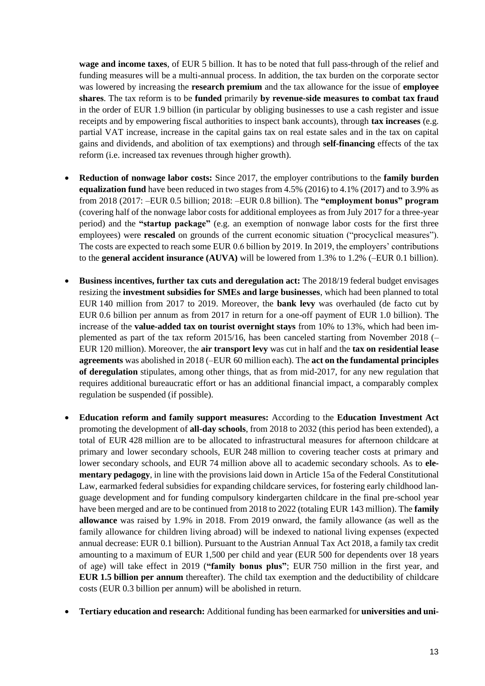**wage and income taxes**, of EUR 5 billion. It has to be noted that full pass-through of the relief and funding measures will be a multi-annual process. In addition, the tax burden on the corporate sector was lowered by increasing the **research premium** and the tax allowance for the issue of **employee shares**. The tax reform is to be **funded** primarily **by revenue-side measures to combat tax fraud** in the order of EUR 1.9 billion (in particular by obliging businesses to use a cash register and issue receipts and by empowering fiscal authorities to inspect bank accounts), through **tax increases** (e.g. partial VAT increase, increase in the capital gains tax on real estate sales and in the tax on capital gains and dividends, and abolition of tax exemptions) and through **self-financing** effects of the tax reform (i.e. increased tax revenues through higher growth).

- **Reduction of nonwage labor costs:** Since 2017, the employer contributions to the **family burden equalization fund** have been reduced in two stages from 4.5% (2016) to 4.1% (2017) and to 3.9% as from 2018 (2017: –EUR 0.5 billion; 2018: –EUR 0.8 billion). The **"employment bonus" program** (covering half of the nonwage labor costs for additional employees as from July 2017 for a three-year period) and the **"startup package"** (e.g. an exemption of nonwage labor costs for the first three employees) were **rescaled** on grounds of the current economic situation ("procyclical measures"). The costs are expected to reach some EUR 0.6 billion by 2019. In 2019, the employers' contributions to the **general accident insurance (AUVA)** will be lowered from 1.3% to 1.2% (–EUR 0.1 billion).
- **Business incentives, further tax cuts and deregulation act:** The 2018/19 federal budget envisages resizing the **investment subsidies for SMEs and large businesses**, which had been planned to total EUR 140 million from 2017 to 2019. Moreover, the **bank levy** was overhauled (de facto cut by EUR 0.6 billion per annum as from 2017 in return for a one-off payment of EUR 1.0 billion). The increase of the **value-added tax on tourist overnight stays** from 10% to 13%, which had been implemented as part of the tax reform 2015/16, has been canceled starting from November 2018 (– EUR 120 million). Moreover, the **air transport levy** was cut in half and the **tax on residential lease agreements** was abolished in 2018 (–EUR 60 million each). The **act on the fundamental principles of deregulation** stipulates, among other things, that as from mid-2017, for any new regulation that requires additional bureaucratic effort or has an additional financial impact, a comparably complex regulation be suspended (if possible).
- **Education reform and family support measures:** According to the **Education Investment Act** promoting the development of **all-day schools**, from 2018 to 2032 (this period has been extended), a total of EUR 428 million are to be allocated to infrastructural measures for afternoon childcare at primary and lower secondary schools, EUR 248 million to covering teacher costs at primary and lower secondary schools, and EUR 74 million above all to academic secondary schools. As to **elementary pedagogy**, in line with the provisions laid down in Article 15a of the Federal Constitutional Law, earmarked federal subsidies for expanding childcare services, for fostering early childhood language development and for funding compulsory kindergarten childcare in the final pre-school year have been merged and are to be continued from 2018 to 2022 (totaling EUR 143 million). The **family allowance** was raised by 1.9% in 2018. From 2019 onward, the family allowance (as well as the family allowance for children living abroad) will be indexed to national living expenses (expected annual decrease: EUR 0.1 billion). Pursuant to the Austrian Annual Tax Act 2018, a family tax credit amounting to a maximum of EUR 1,500 per child and year (EUR 500 for dependents over 18 years of age) will take effect in 2019 (**"family bonus plus"**; EUR 750 million in the first year, and **EUR 1.5 billion per annum** thereafter). The child tax exemption and the deductibility of childcare costs (EUR 0.3 billion per annum) will be abolished in return.
- **Tertiary education and research:** Additional funding has been earmarked for **universities and uni-**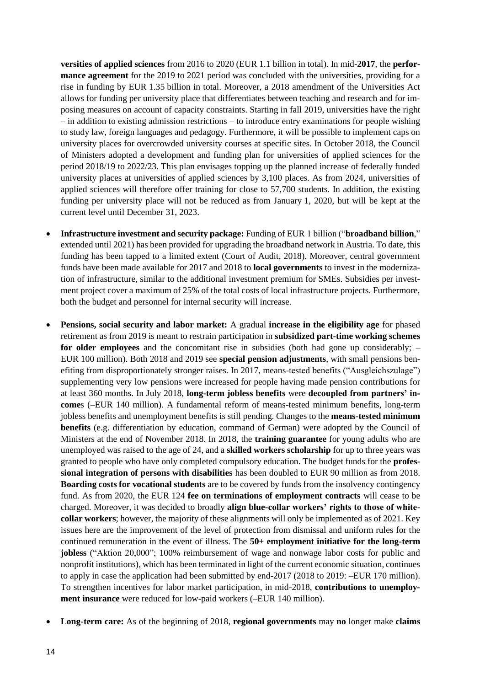**versities of applied sciences** from 2016 to 2020 (EUR 1.1 billion in total). In mid-**2017**, the **performance agreement** for the 2019 to 2021 period was concluded with the universities, providing for a rise in funding by EUR 1.35 billion in total. Moreover, a 2018 amendment of the Universities Act allows for funding per university place that differentiates between teaching and research and for imposing measures on account of capacity constraints. Starting in fall 2019, universities have the right – in addition to existing admission restrictions – to introduce entry examinations for people wishing to study law, foreign languages and pedagogy. Furthermore, it will be possible to implement caps on university places for overcrowded university courses at specific sites. In October 2018, the Council of Ministers adopted a development and funding plan for universities of applied sciences for the period 2018/19 to 2022/23. This plan envisages topping up the planned increase of federally funded university places at universities of applied sciences by 3,100 places. As from 2024, universities of applied sciences will therefore offer training for close to 57,700 students. In addition, the existing funding per university place will not be reduced as from January 1, 2020, but will be kept at the current level until December 31, 2023.

- **Infrastructure investment and security package:** Funding of EUR 1 billion ("**broadband billion**," extended until 2021) has been provided for upgrading the broadband network in Austria. To date, this funding has been tapped to a limited extent (Court of Audit, 2018). Moreover, central government funds have been made available for 2017 and 2018 to **local governments** to invest in the modernization of infrastructure, similar to the additional investment premium for SMEs. Subsidies per investment project cover a maximum of 25% of the total costs of local infrastructure projects. Furthermore, both the budget and personnel for internal security will increase.
- **Pensions, social security and labor market:** A gradual **increase in the eligibility age** for phased retirement as from 2019 is meant to restrain participation in **subsidized part-time working schemes for older employees** and the concomitant rise in subsidies (both had gone up considerably; – EUR 100 million). Both 2018 and 2019 see **special pension adjustments**, with small pensions benefiting from disproportionately stronger raises. In 2017, means-tested benefits ("Ausgleichszulage") supplementing very low pensions were increased for people having made pension contributions for at least 360 months. In July 2018, **long-term jobless benefits** were **decoupled from partners' income**s (–EUR 140 million). A fundamental reform of means-tested minimum benefits, long-term jobless benefits and unemployment benefits is still pending. Changes to the **means-tested minimum benefits** (e.g. differentiation by education, command of German) were adopted by the Council of Ministers at the end of November 2018. In 2018, the **training guarantee** for young adults who are unemployed was raised to the age of 24, and a **skilled workers scholarship** for up to three years was granted to people who have only completed compulsory education. The budget funds for the **professional integration of persons with disabilities** has been doubled to EUR 90 million as from 2018. **Boarding costs for vocational students** are to be covered by funds from the insolvency contingency fund. As from 2020, the EUR 124 **fee on terminations of employment contracts** will cease to be charged. Moreover, it was decided to broadly **align blue-collar workers' rights to those of whitecollar workers**; however, the majority of these alignments will only be implemented as of 2021. Key issues here are the improvement of the level of protection from dismissal and uniform rules for the continued remuneration in the event of illness. The **50+ employment initiative for the long-term jobless** ("Aktion 20,000"; 100% reimbursement of wage and nonwage labor costs for public and nonprofit institutions), which has been terminated in light of the current economic situation, continues to apply in case the application had been submitted by end-2017 (2018 to 2019: –EUR 170 million). To strengthen incentives for labor market participation, in mid-2018, **contributions to unemployment insurance** were reduced for low-paid workers (–EUR 140 million).
- **Long-term care:** As of the beginning of 2018, **regional governments** may **no** longer make **claims**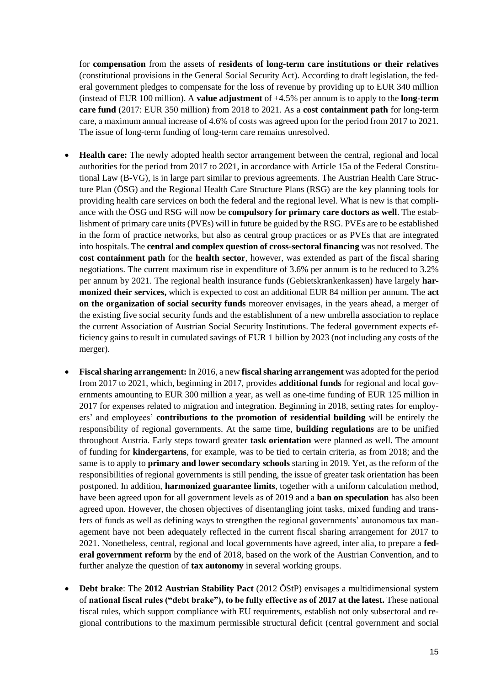for **compensation** from the assets of **residents of long-term care institutions or their relatives** (constitutional provisions in the General Social Security Act). According to draft legislation, the federal government pledges to compensate for the loss of revenue by providing up to EUR 340 million (instead of EUR 100 million). A **value adjustment** of +4.5% per annum is to apply to the **long-term care fund** (2017: EUR 350 million) from 2018 to 2021. As a **cost containment path** for long-term care, a maximum annual increase of 4.6% of costs was agreed upon for the period from 2017 to 2021. The issue of long-term funding of long-term care remains unresolved.

- **Health care:** The newly adopted health sector arrangement between the central, regional and local authorities for the period from 2017 to 2021, in accordance with Article 15a of the Federal Constitutional Law (B-VG), is in large part similar to previous agreements. The Austrian Health Care Structure Plan (ÖSG) and the Regional Health Care Structure Plans (RSG) are the key planning tools for providing health care services on both the federal and the regional level. What is new is that compliance with the ÖSG und RSG will now be **compulsory for primary care doctors as well**. The establishment of primary care units (PVEs) will in future be guided by the RSG. PVEs are to be established in the form of practice networks, but also as central group practices or as PVEs that are integrated into hospitals. The **central and complex question of cross-sectoral financing** was not resolved. The **cost containment path** for the **health sector**, however, was extended as part of the fiscal sharing negotiations. The current maximum rise in expenditure of 3.6% per annum is to be reduced to 3.2% per annum by 2021. The regional health insurance funds (Gebietskrankenkassen) have largely **harmonized their services,** which is expected to cost an additional EUR 84 million per annum. The **act on the organization of social security funds** moreover envisages, in the years ahead, a merger of the existing five social security funds and the establishment of a new umbrella association to replace the current Association of Austrian Social Security Institutions. The federal government expects efficiency gains to result in cumulated savings of EUR 1 billion by 2023 (not including any costs of the merger).
- **Fiscal sharing arrangement:** In 2016, a new **fiscal sharing arrangement** was adopted for the period from 2017 to 2021, which, beginning in 2017, provides **additional funds** for regional and local governments amounting to EUR 300 million a year, as well as one-time funding of EUR 125 million in 2017 for expenses related to migration and integration. Beginning in 2018, setting rates for employers' and employees' **contributions to the promotion of residential building** will be entirely the responsibility of regional governments. At the same time, **building regulations** are to be unified throughout Austria. Early steps toward greater **task orientation** were planned as well. The amount of funding for **kindergartens**, for example, was to be tied to certain criteria, as from 2018; and the same is to apply to **primary and lower secondary schools** starting in 2019. Yet, as the reform of the responsibilities of regional governments is still pending, the issue of greater task orientation has been postponed. In addition, **harmonized guarantee limits**, together with a uniform calculation method, have been agreed upon for all government levels as of 2019 and a **ban on speculation** has also been agreed upon. However, the chosen objectives of disentangling joint tasks, mixed funding and transfers of funds as well as defining ways to strengthen the regional governments' autonomous tax management have not been adequately reflected in the current fiscal sharing arrangement for 2017 to 2021. Nonetheless, central, regional and local governments have agreed, inter alia, to prepare a **federal government reform** by the end of 2018, based on the work of the Austrian Convention, and to further analyze the question of **tax autonomy** in several working groups.
- **Debt brake**: The **2012 Austrian Stability Pact** (2012 ÖStP) envisages a multidimensional system of **national fiscal rules ("debt brake"), to be fully effective as of 2017 at the latest.** These national fiscal rules, which support compliance with EU requirements, establish not only subsectoral and regional contributions to the maximum permissible structural deficit (central government and social